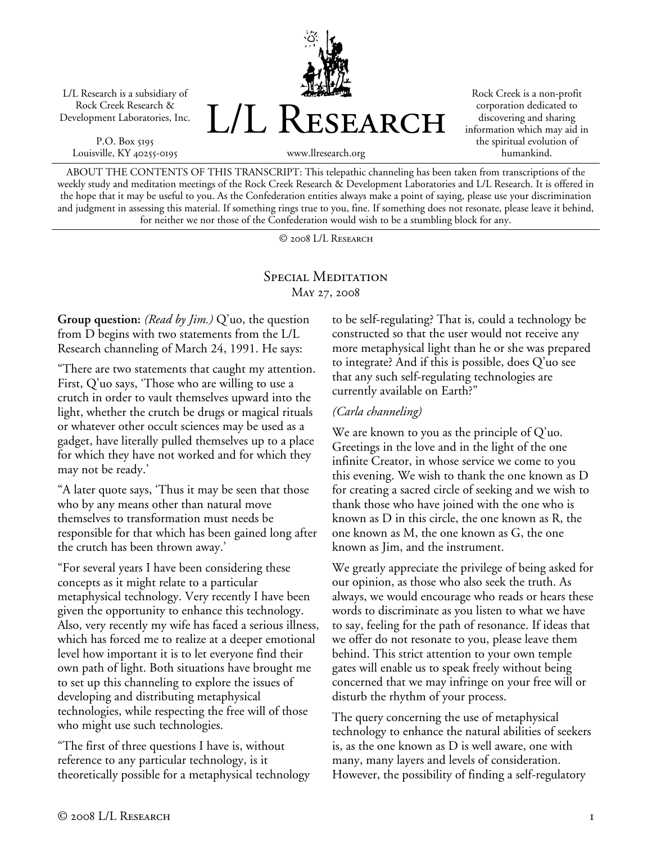L/L Research is a subsidiary of Rock Creek Research & Development Laboratories, Inc.

P.O. Box 5195 Louisville, KY 40255-0195



Rock Creek is a non-profit corporation dedicated to discovering and sharing information which may aid in the spiritual evolution of humankind.

www.llresearch.org

ABOUT THE CONTENTS OF THIS TRANSCRIPT: This telepathic channeling has been taken from transcriptions of the weekly study and meditation meetings of the Rock Creek Research & Development Laboratories and L/L Research. It is offered in the hope that it may be useful to you. As the Confederation entities always make a point of saying, please use your discrimination and judgment in assessing this material. If something rings true to you, fine. If something does not resonate, please leave it behind, for neither we nor those of the Confederation would wish to be a stumbling block for any.

© 2008 L/L Research

## SPECIAL MEDITATION May 27, 2008

**Group question:** *(Read by Jim.)* Q'uo, the question from D begins with two statements from the L/L Research channeling of March 24, 1991. He says:

"There are two statements that caught my attention. First, Q'uo says, 'Those who are willing to use a crutch in order to vault themselves upward into the light, whether the crutch be drugs or magical rituals or whatever other occult sciences may be used as a gadget, have literally pulled themselves up to a place for which they have not worked and for which they may not be ready.'

"A later quote says, 'Thus it may be seen that those who by any means other than natural move themselves to transformation must needs be responsible for that which has been gained long after the crutch has been thrown away.'

"For several years I have been considering these concepts as it might relate to a particular metaphysical technology. Very recently I have been given the opportunity to enhance this technology. Also, very recently my wife has faced a serious illness, which has forced me to realize at a deeper emotional level how important it is to let everyone find their own path of light. Both situations have brought me to set up this channeling to explore the issues of developing and distributing metaphysical technologies, while respecting the free will of those who might use such technologies.

"The first of three questions I have is, without reference to any particular technology, is it theoretically possible for a metaphysical technology to be self-regulating? That is, could a technology be constructed so that the user would not receive any more metaphysical light than he or she was prepared to integrate? And if this is possible, does Q'uo see that any such self-regulating technologies are currently available on Earth?"

## *(Carla channeling)*

We are known to you as the principle of Q'uo. Greetings in the love and in the light of the one infinite Creator, in whose service we come to you this evening. We wish to thank the one known as D for creating a sacred circle of seeking and we wish to thank those who have joined with the one who is known as D in this circle, the one known as R, the one known as M, the one known as G, the one known as Jim, and the instrument.

We greatly appreciate the privilege of being asked for our opinion, as those who also seek the truth. As always, we would encourage who reads or hears these words to discriminate as you listen to what we have to say, feeling for the path of resonance. If ideas that we offer do not resonate to you, please leave them behind. This strict attention to your own temple gates will enable us to speak freely without being concerned that we may infringe on your free will or disturb the rhythm of your process.

The query concerning the use of metaphysical technology to enhance the natural abilities of seekers is, as the one known as D is well aware, one with many, many layers and levels of consideration. However, the possibility of finding a self-regulatory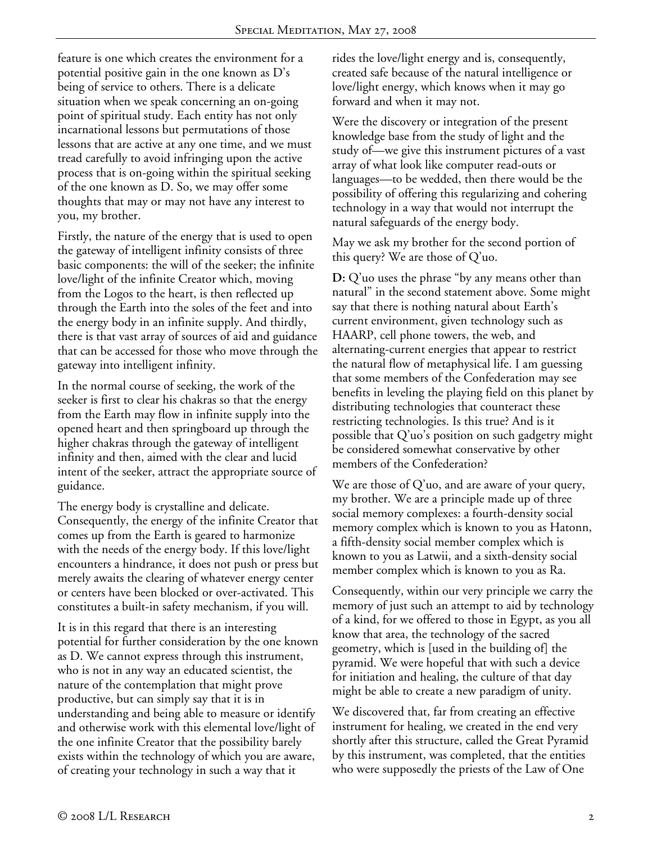feature is one which creates the environment for a potential positive gain in the one known as D's being of service to others. There is a delicate situation when we speak concerning an on-going point of spiritual study. Each entity has not only incarnational lessons but permutations of those lessons that are active at any one time, and we must tread carefully to avoid infringing upon the active process that is on-going within the spiritual seeking of the one known as D. So, we may offer some thoughts that may or may not have any interest to you, my brother.

Firstly, the nature of the energy that is used to open the gateway of intelligent infinity consists of three basic components: the will of the seeker; the infinite love/light of the infinite Creator which, moving from the Logos to the heart, is then reflected up through the Earth into the soles of the feet and into the energy body in an infinite supply. And thirdly, there is that vast array of sources of aid and guidance that can be accessed for those who move through the gateway into intelligent infinity.

In the normal course of seeking, the work of the seeker is first to clear his chakras so that the energy from the Earth may flow in infinite supply into the opened heart and then springboard up through the higher chakras through the gateway of intelligent infinity and then, aimed with the clear and lucid intent of the seeker, attract the appropriate source of guidance.

The energy body is crystalline and delicate. Consequently, the energy of the infinite Creator that comes up from the Earth is geared to harmonize with the needs of the energy body. If this love/light encounters a hindrance, it does not push or press but merely awaits the clearing of whatever energy center or centers have been blocked or over-activated. This constitutes a built-in safety mechanism, if you will.

It is in this regard that there is an interesting potential for further consideration by the one known as D. We cannot express through this instrument, who is not in any way an educated scientist, the nature of the contemplation that might prove productive, but can simply say that it is in understanding and being able to measure or identify and otherwise work with this elemental love/light of the one infinite Creator that the possibility barely exists within the technology of which you are aware, of creating your technology in such a way that it

rides the love/light energy and is, consequently, created safe because of the natural intelligence or love/light energy, which knows when it may go forward and when it may not.

Were the discovery or integration of the present knowledge base from the study of light and the study of—we give this instrument pictures of a vast array of what look like computer read-outs or languages—to be wedded, then there would be the possibility of offering this regularizing and cohering technology in a way that would not interrupt the natural safeguards of the energy body.

May we ask my brother for the second portion of this query? We are those of Q'uo.

**D:** Q'uo uses the phrase "by any means other than natural" in the second statement above. Some might say that there is nothing natural about Earth's current environment, given technology such as HAARP, cell phone towers, the web, and alternating-current energies that appear to restrict the natural flow of metaphysical life. I am guessing that some members of the Confederation may see benefits in leveling the playing field on this planet by distributing technologies that counteract these restricting technologies. Is this true? And is it possible that Q'uo's position on such gadgetry might be considered somewhat conservative by other members of the Confederation?

We are those of  $Q'$ uo, and are aware of your query, my brother. We are a principle made up of three social memory complexes: a fourth-density social memory complex which is known to you as Hatonn, a fifth-density social member complex which is known to you as Latwii, and a sixth-density social member complex which is known to you as Ra.

Consequently, within our very principle we carry the memory of just such an attempt to aid by technology of a kind, for we offered to those in Egypt, as you all know that area, the technology of the sacred geometry, which is [used in the building of] the pyramid. We were hopeful that with such a device for initiation and healing, the culture of that day might be able to create a new paradigm of unity.

We discovered that, far from creating an effective instrument for healing, we created in the end very shortly after this structure, called the Great Pyramid by this instrument, was completed, that the entities who were supposedly the priests of the Law of One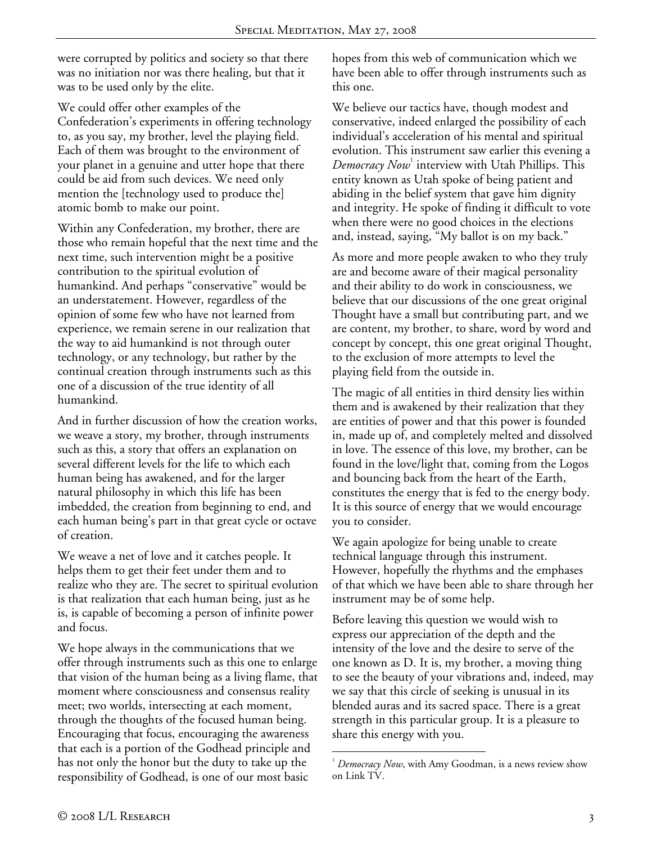were corrupted by politics and society so that there was no initiation nor was there healing, but that it was to be used only by the elite.

We could offer other examples of the Confederation's experiments in offering technology to, as you say, my brother, level the playing field. Each of them was brought to the environment of your planet in a genuine and utter hope that there could be aid from such devices. We need only mention the [technology used to produce the] atomic bomb to make our point.

Within any Confederation, my brother, there are those who remain hopeful that the next time and the next time, such intervention might be a positive contribution to the spiritual evolution of humankind. And perhaps "conservative" would be an understatement. However, regardless of the opinion of some few who have not learned from experience, we remain serene in our realization that the way to aid humankind is not through outer technology, or any technology, but rather by the continual creation through instruments such as this one of a discussion of the true identity of all humankind.

And in further discussion of how the creation works, we weave a story, my brother, through instruments such as this, a story that offers an explanation on several different levels for the life to which each human being has awakened, and for the larger natural philosophy in which this life has been imbedded, the creation from beginning to end, and each human being's part in that great cycle or octave of creation.

We weave a net of love and it catches people. It helps them to get their feet under them and to realize who they are. The secret to spiritual evolution is that realization that each human being, just as he is, is capable of becoming a person of infinite power and focus.

We hope always in the communications that we offer through instruments such as this one to enlarge that vision of the human being as a living flame, that moment where consciousness and consensus reality meet; two worlds, intersecting at each moment, through the thoughts of the focused human being. Encouraging that focus, encouraging the awareness that each is a portion of the Godhead principle and has not only the honor but the duty to take up the responsibility of Godhead, is one of our most basic

hopes from this web of communication which we have been able to offer through instruments such as this one.

We believe our tactics have, though modest and conservative, indeed enlarged the possibility of each individual's acceleration of his mental and spiritual evolution. This instrument saw earlier this evening a  $\emph{Denoracy}$   $\emph{Now}^1$  interview with Utah Phillips. This entity known as Utah spoke of being patient and abiding in the belief system that gave him dignity and integrity. He spoke of finding it difficult to vote when there were no good choices in the elections and, instead, saying, "My ballot is on my back."

As more and more people awaken to who they truly are and become aware of their magical personality and their ability to do work in consciousness, we believe that our discussions of the one great original Thought have a small but contributing part, and we are content, my brother, to share, word by word and concept by concept, this one great original Thought, to the exclusion of more attempts to level the playing field from the outside in.

The magic of all entities in third density lies within them and is awakened by their realization that they are entities of power and that this power is founded in, made up of, and completely melted and dissolved in love. The essence of this love, my brother, can be found in the love/light that, coming from the Logos and bouncing back from the heart of the Earth, constitutes the energy that is fed to the energy body. It is this source of energy that we would encourage you to consider.

We again apologize for being unable to create technical language through this instrument. However, hopefully the rhythms and the emphases of that which we have been able to share through her instrument may be of some help.

Before leaving this question we would wish to express our appreciation of the depth and the intensity of the love and the desire to serve of the one known as D. It is, my brother, a moving thing to see the beauty of your vibrations and, indeed, may we say that this circle of seeking is unusual in its blended auras and its sacred space. There is a great strength in this particular group. It is a pleasure to share this energy with you.

 $\overline{a}$ <sup>1</sup> Democracy Now, with Amy Goodman, is a news review show on Link TV.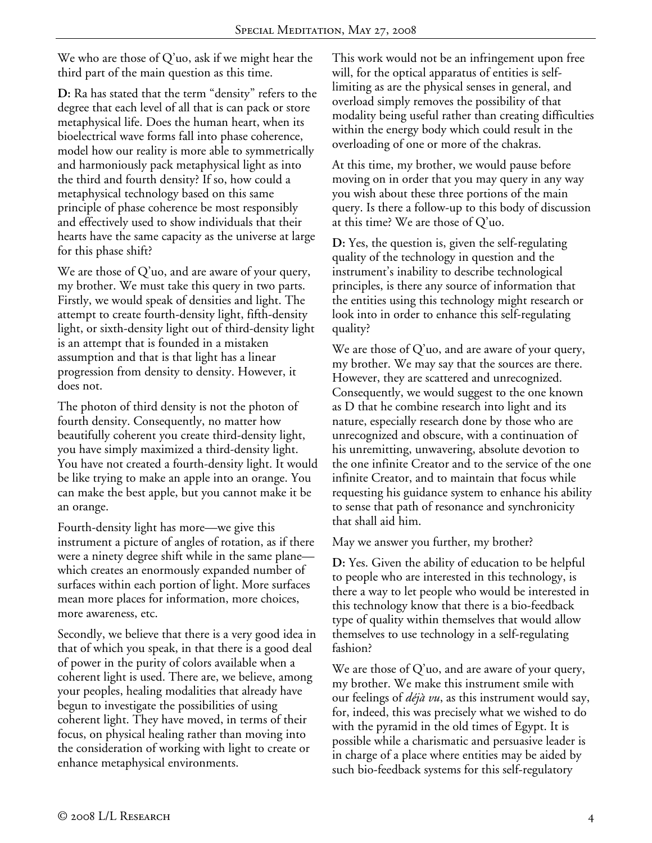We who are those of Q'uo, ask if we might hear the third part of the main question as this time.

**D:** Ra has stated that the term "density" refers to the degree that each level of all that is can pack or store metaphysical life. Does the human heart, when its bioelectrical wave forms fall into phase coherence, model how our reality is more able to symmetrically and harmoniously pack metaphysical light as into the third and fourth density? If so, how could a metaphysical technology based on this same principle of phase coherence be most responsibly and effectively used to show individuals that their hearts have the same capacity as the universe at large for this phase shift?

We are those of Q'uo, and are aware of your query, my brother. We must take this query in two parts. Firstly, we would speak of densities and light. The attempt to create fourth-density light, fifth-density light, or sixth-density light out of third-density light is an attempt that is founded in a mistaken assumption and that is that light has a linear progression from density to density. However, it does not.

The photon of third density is not the photon of fourth density. Consequently, no matter how beautifully coherent you create third-density light, you have simply maximized a third-density light. You have not created a fourth-density light. It would be like trying to make an apple into an orange. You can make the best apple, but you cannot make it be an orange.

Fourth-density light has more—we give this instrument a picture of angles of rotation, as if there were a ninety degree shift while in the same plane which creates an enormously expanded number of surfaces within each portion of light. More surfaces mean more places for information, more choices, more awareness, etc.

Secondly, we believe that there is a very good idea in that of which you speak, in that there is a good deal of power in the purity of colors available when a coherent light is used. There are, we believe, among your peoples, healing modalities that already have begun to investigate the possibilities of using coherent light. They have moved, in terms of their focus, on physical healing rather than moving into the consideration of working with light to create or enhance metaphysical environments.

This work would not be an infringement upon free will, for the optical apparatus of entities is selflimiting as are the physical senses in general, and overload simply removes the possibility of that modality being useful rather than creating difficulties within the energy body which could result in the overloading of one or more of the chakras.

At this time, my brother, we would pause before moving on in order that you may query in any way you wish about these three portions of the main query. Is there a follow-up to this body of discussion at this time? We are those of Q'uo.

**D:** Yes, the question is, given the self-regulating quality of the technology in question and the instrument's inability to describe technological principles, is there any source of information that the entities using this technology might research or look into in order to enhance this self-regulating quality?

We are those of  $Q'$ uo, and are aware of your query, my brother. We may say that the sources are there. However, they are scattered and unrecognized. Consequently, we would suggest to the one known as D that he combine research into light and its nature, especially research done by those who are unrecognized and obscure, with a continuation of his unremitting, unwavering, absolute devotion to the one infinite Creator and to the service of the one infinite Creator, and to maintain that focus while requesting his guidance system to enhance his ability to sense that path of resonance and synchronicity that shall aid him.

## May we answer you further, my brother?

**D:** Yes. Given the ability of education to be helpful to people who are interested in this technology, is there a way to let people who would be interested in this technology know that there is a bio-feedback type of quality within themselves that would allow themselves to use technology in a self-regulating fashion?

We are those of  $Q'$ uo, and are aware of your query, my brother. We make this instrument smile with our feelings of *déjà vu*, as this instrument would say, for, indeed, this was precisely what we wished to do with the pyramid in the old times of Egypt. It is possible while a charismatic and persuasive leader is in charge of a place where entities may be aided by such bio-feedback systems for this self-regulatory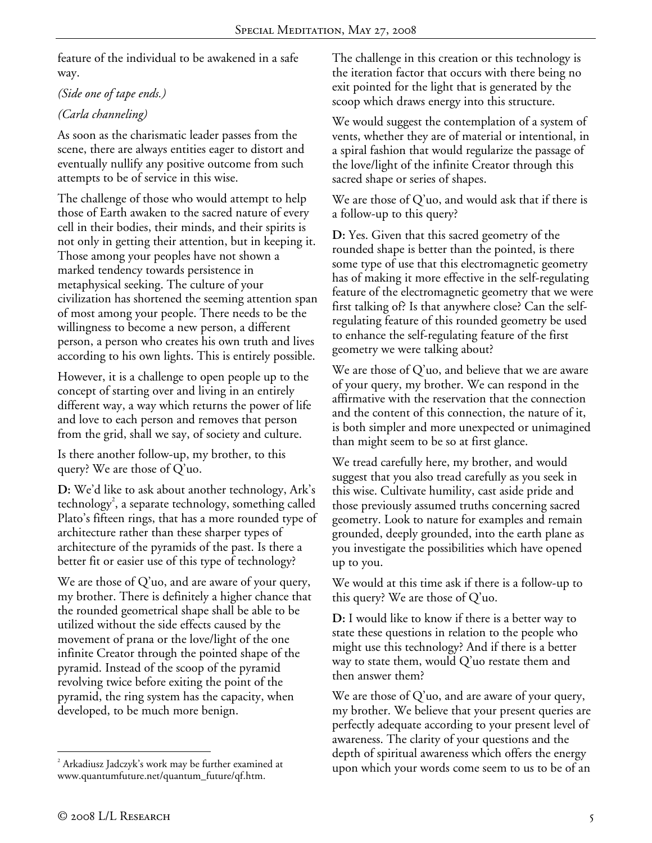feature of the individual to be awakened in a safe way.

*(Side one of tape ends.)* 

## *(Carla channeling)*

As soon as the charismatic leader passes from the scene, there are always entities eager to distort and eventually nullify any positive outcome from such attempts to be of service in this wise.

The challenge of those who would attempt to help those of Earth awaken to the sacred nature of every cell in their bodies, their minds, and their spirits is not only in getting their attention, but in keeping it. Those among your peoples have not shown a marked tendency towards persistence in metaphysical seeking. The culture of your civilization has shortened the seeming attention span of most among your people. There needs to be the willingness to become a new person, a different person, a person who creates his own truth and lives according to his own lights. This is entirely possible.

However, it is a challenge to open people up to the concept of starting over and living in an entirely different way, a way which returns the power of life and love to each person and removes that person from the grid, shall we say, of society and culture.

Is there another follow-up, my brother, to this query? We are those of Q'uo.

**D:** We'd like to ask about another technology, Ark's technology<sup>2</sup>, a separate technology, something called Plato's fifteen rings, that has a more rounded type of architecture rather than these sharper types of architecture of the pyramids of the past. Is there a better fit or easier use of this type of technology?

We are those of  $Q'$ uo, and are aware of your query, my brother. There is definitely a higher chance that the rounded geometrical shape shall be able to be utilized without the side effects caused by the movement of prana or the love/light of the one infinite Creator through the pointed shape of the pyramid. Instead of the scoop of the pyramid revolving twice before exiting the point of the pyramid, the ring system has the capacity, when developed, to be much more benign.

The challenge in this creation or this technology is the iteration factor that occurs with there being no exit pointed for the light that is generated by the scoop which draws energy into this structure.

We would suggest the contemplation of a system of vents, whether they are of material or intentional, in a spiral fashion that would regularize the passage of the love/light of the infinite Creator through this sacred shape or series of shapes.

We are those of Q'uo, and would ask that if there is a follow-up to this query?

**D:** Yes. Given that this sacred geometry of the rounded shape is better than the pointed, is there some type of use that this electromagnetic geometry has of making it more effective in the self-regulating feature of the electromagnetic geometry that we were first talking of? Is that anywhere close? Can the selfregulating feature of this rounded geometry be used to enhance the self-regulating feature of the first geometry we were talking about?

We are those of Q'uo, and believe that we are aware of your query, my brother. We can respond in the affirmative with the reservation that the connection and the content of this connection, the nature of it, is both simpler and more unexpected or unimagined than might seem to be so at first glance.

We tread carefully here, my brother, and would suggest that you also tread carefully as you seek in this wise. Cultivate humility, cast aside pride and those previously assumed truths concerning sacred geometry. Look to nature for examples and remain grounded, deeply grounded, into the earth plane as you investigate the possibilities which have opened up to you.

We would at this time ask if there is a follow-up to this query? We are those of Q'uo.

**D:** I would like to know if there is a better way to state these questions in relation to the people who might use this technology? And if there is a better way to state them, would Q'uo restate them and then answer them?

We are those of Q'uo, and are aware of your query, my brother. We believe that your present queries are perfectly adequate according to your present level of awareness. The clarity of your questions and the depth of spiritual awareness which offers the energy upon which your words come seem to us to be of an

 $\overline{a}$  $2^{2}$  Arkadiusz Jadczyk's work may be further examined at www.quantumfuture.net/quantum\_future/qf.htm.